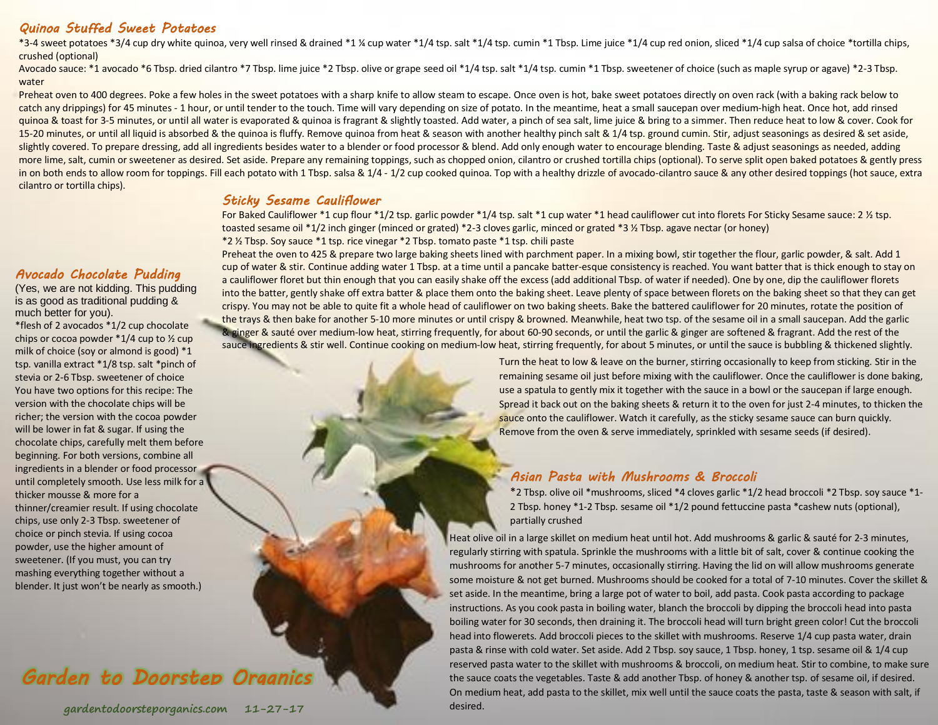### *Quinoa Stuffed Sweet Potatoes*

\*3-4 sweet potatoes \*3/4 cup dry white quinoa, very well rinsed & drained \*1 ¼ cup water \*1/4 tsp. salt \*1/4 tsp. cumin \*1 Tbsp. Lime juice \*1/4 cup red onion, sliced \*1/4 cup salsa of choice \*tortilla chips, crushed (optional)

Avocado sauce: \*1 avocado \*6 Tbsp. dried cilantro \*7 Tbsp. lime juice \*2 Tbsp. olive or grape seed oil \*1/4 tsp. salt \*1/4 tsp. cumin \*1 Tbsp. sweetener of choice (such as maple syrup or agave) \*2-3 Tbsp. water

Preheat oven to 400 degrees. Poke a few holes in the sweet potatoes with a sharp knife to allow steam to escape. Once oven is hot, bake sweet potatoes directly on oven rack (with a baking rack below to catch any drippings) for 45 minutes - 1 hour, or until tender to the touch. Time will vary depending on size of potato. In the meantime, heat a small saucepan over medium-high heat. Once hot, add rinsed quinoa & toast for 3-5 minutes, or until all water is evaporated & quinoa is fragrant & slightly toasted. Add water, a pinch of sea salt, lime juice & bring to a simmer. Then reduce heat to low & cover. Cook for 15-20 minutes, or until all liquid is absorbed & the quinoa is fluffy. Remove quinoa from heat & season with another healthy pinch salt & 1/4 tsp. ground cumin. Stir, adjust seasonings as desired & set aside, slightly covered. To prepare dressing, add all ingredients besides water to a blender or food processor & blend. Add only enough water to encourage blending. Taste & adjust seasonings as needed, adding more lime, salt, cumin or sweetener as desired. Set aside. Prepare any remaining toppings, such as chopped onion, cilantro or crushed tortilla chips (optional). To serve split open baked potatoes & gently press in on both ends to allow room for toppings. Fill each potato with 1 Tbsp. salsa & 1/4 - 1/2 cup cooked quinoa. Top with a healthy drizzle of avocado-cilantro sauce & any other desired toppings (hot sauce, extra cilantro or tortilla chips).

#### *Sticky Sesame Cauliflower*

For Baked Cauliflower \*1 cup flour \*1/2 tsp. garlic powder \*1/4 tsp. salt \*1 cup water \*1 head cauliflower cut into florets For Sticky Sesame sauce: 2 ½ tsp. toasted sesame oil \*1/2 inch ginger (minced or grated) \*2-3 cloves garlic, minced or grated \*3 ½ Tbsp. agave nectar (or honey) \*2 ½ Tbsp. Soy sauce \*1 tsp. rice vinegar \*2 Tbsp. tomato paste \*1 tsp. chili paste

### *Avocado Chocolate Pudding*

(Yes, we are not kidding. This pudding is as good as traditional pudding & much better for you).

\*flesh of 2 avocados \*1/2 cup chocolate chips or cocoa powder \*1/4 cup to ½ cup milk of choice (soy or almond is good) \*1 tsp. vanilla extract \*1/8 tsp. salt \*pinch of stevia or 2-6 Tbsp. sweetener of choice You have two options for this recipe: The version with the chocolate chips will be richer; the version with the cocoa powder will be lower in fat & sugar. If using the chocolate chips, carefully melt them before beginning. For both versions, combine all ingredients in a blender or food processor until completely smooth. Use less milk for a thicker mousse & more for a thinner/creamier result. If using chocolate chips, use only 2-3 Tbsp. sweetener of choice or pinch stevia. If using cocoa powder, use the higher amount of sweetener. (If you must, you can try mashing everything together without a blender. It just won't be nearly as smooth.)

## *Garden to Doorstep Organics*

Preheat the oven to 425 & prepare two large baking sheets lined with parchment paper. In a mixing bowl, stir together the flour, garlic powder, & salt. Add 1 cup of water & stir. Continue adding water 1 Tbsp. at a time until a pancake batter-esque consistency is reached. You want batter that is thick enough to stay on a cauliflower floret but thin enough that you can easily shake off the excess (add additional Tbsp. of water if needed). One by one, dip the cauliflower florets into the batter, gently shake off extra batter & place them onto the baking sheet. Leave plenty of space between florets on the baking sheet so that they can get crispy. You may not be able to quite fit a whole head of cauliflower on two baking sheets. Bake the battered cauliflower for 20 minutes, rotate the position of the trays & then bake for another 5-10 more minutes or until crispy & browned. Meanwhile, heat two tsp. of the sesame oil in a small saucepan. Add the garlic & ginger & sauté over medium-low heat, stirring frequently, for about 60-90 seconds, or until the garlic & ginger are softened & fragrant. Add the rest of the sauce ingredients & stir well. Continue cooking on medium-low heat, stirring frequently, for about 5 minutes, or until the sauce is bubbling & thickened slightly.

Turn the heat to low & leave on the burner, stirring occasionally to keep from sticking. Stir in the remaining sesame oil just before mixing with the cauliflower. Once the cauliflower is done baking, use a spatula to gently mix it together with the sauce in a bowl or the saucepan if large enough. Spread it back out on the baking sheets & return it to the oven for just 2-4 minutes, to thicken the sauce onto the cauliflower. Watch it carefully, as the sticky sesame sauce can burn quickly. Remove from the oven & serve immediately, sprinkled with sesame seeds (if desired).

### *Asian Pasta with Mushrooms & Broccoli*

\*2 Tbsp. olive oil \*mushrooms, sliced \*4 cloves garlic \*1/2 head broccoli \*2 Tbsp. soy sauce \*1- 2 Tbsp. honey \*1-2 Tbsp. sesame oil \*1/2 pound fettuccine pasta \*cashew nuts (optional), partially crushed

Heat olive oil in a large skillet on medium heat until hot. Add mushrooms & garlic & sauté for 2-3 minutes, regularly stirring with spatula. Sprinkle the mushrooms with a little bit of salt, cover & continue cooking the mushrooms for another 5-7 minutes, occasionally stirring. Having the lid on will allow mushrooms generate some moisture & not get burned. Mushrooms should be cooked for a total of 7-10 minutes. Cover the skillet & set aside. In the meantime, bring a large pot of water to boil, add pasta. Cook pasta according to package instructions. As you cook pasta in boiling water, blanch the broccoli by dipping the broccoli head into pasta boiling water for 30 seconds, then draining it. The broccoli head will turn bright green color! Cut the broccoli head into flowerets. Add broccoli pieces to the skillet with mushrooms. Reserve 1/4 cup pasta water, drain pasta & rinse with cold water. Set aside. Add 2 Tbsp. soy sauce, 1 Tbsp. honey, 1 tsp. sesame oil & 1/4 cup reserved pasta water to the skillet with mushrooms & broccoli, on medium heat. Stir to combine, to make sure the sauce coats the vegetables. Taste & add another Tbsp. of honey & another tsp. of sesame oil, if desired. On medium heat, add pasta to the skillet, mix well until the sauce coats the pasta, taste & season with salt, if